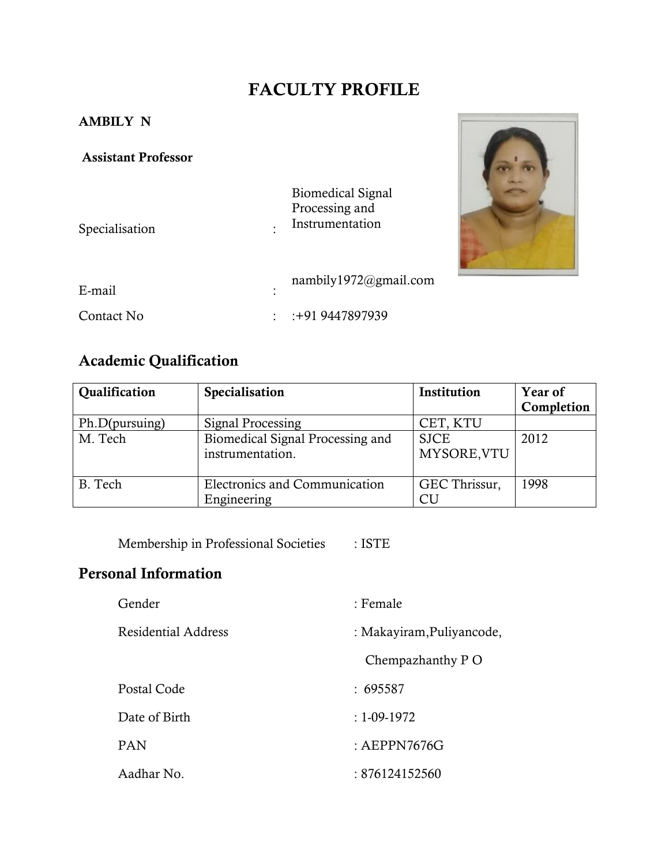# **FACULTY PROFILE**

## **AMBILY N**

### **Assistant Professor**

Specialisation : :





| E-mail     | ٠ | nambily $1972$ @gmail.com |
|------------|---|---------------------------|
| Contact No |   | $: +919447897939$         |

# **Academic Qualification**

| Qualification  | Specialisation                   | Institution   | Year of    |
|----------------|----------------------------------|---------------|------------|
|                |                                  |               | Completion |
| Ph.D(pursuing) | Signal Processing                | CET, KTU      |            |
| M. Tech        | Biomedical Signal Processing and | <b>SJCE</b>   | 2012       |
|                | instrumentation.                 | MYSORE, VTU   |            |
|                |                                  |               |            |
| B. Tech        | Electronics and Communication    | GEC Thrissur, | 1998       |
|                | Engineering                      | CU            |            |

Membership in Professional Societies : ISTE

# **Personal Information**

| Gender              | : Female                  |  |
|---------------------|---------------------------|--|
| Residential Address | : Makayiram, Puliyancode, |  |
|                     | Chempazhanthy P O         |  |
| Postal Code         | : 695587                  |  |
| Date of Birth       | $: 1 - 09 - 1972$         |  |
| <b>PAN</b>          | : $AEPPN7676G$            |  |
| Aadhar No.          | : 876124152560            |  |